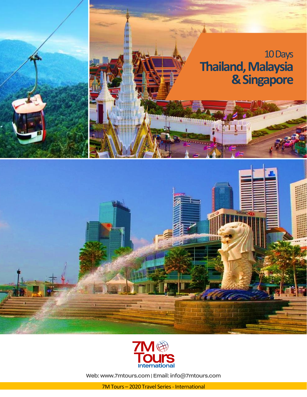



Web: www.7mtours.com | Email: info@7mtours.com

7M Tours – 2020 Travel Series - International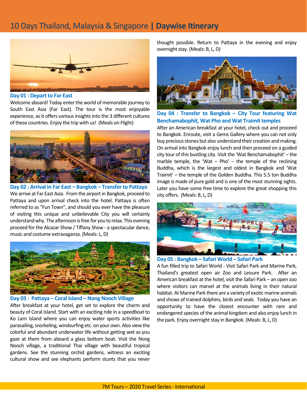# 10 Days Thailand, Malaysia & Singapore **| Daywise Itinerary**



**Day 01 : Depart to Far East**

Welcome aboard! Today enter the world of memorable journey to South East Asia (Far East). The tour is the most enjoyable experience, as it offers various insights into the 3 different cultures of these countries. Enjoy the trip with us! (Meals on Flight)



**Day 02 : Arrival in Far East – Bangkok – Transfer to Pattaya** We arrive at Far East Asia. From the airport in Bangkok, proceed to Pattaya and upon arrival check into the hotel. Pattaya is often referred to as "Fun Town", and should you ever have the pleasure of visiting this unique and unbelievable City you will certainly understand why. The afternoon is free for you to relax. This evening proceed for the Alcazar Show / Tiffany Show - a spectacular dance, music and costume extravaganza. (Meals: L, D)



#### **Day 03 : Pattaya – Coral Island – Nong Nooch Village**

After breakfast at your hotel, get set to explore the charm and beauty of Coral Island. Start with an exciting ride in a speedboat to Ko Larn Island where you can enjoy water sports activities like parasailing, snorkeling, windsurfing etc. on your own. Also view the colorful and abundant underwater life without getting wet as you gaze at them from aboard a glass bottom boat. Visit the Nong Nooch village, a traditional Thai village with beautiful tropical gardens. See the stunning orchid gardens, witness an exciting cultural show and see elephants perform stunts that you never thought possible. Return to Pattaya in the evening and enjoy overnight stay. (Meals: B, L, D)



**Day 04 : Transfer to Bangkok – City Tour featuring Wat Benchamabophit, Wat Pho and Wat Traimit temples**

After an American breakfast at your hotel, check out and proceed to Bangkok. Enroute, visit a Gems Gallery where you can not only buy precious stones but also understand their creation and making. On arrival into Bangkok enjoy lunch and then proceed on a guided city tour of this bustling city. Visit the 'Wat Benchamabophit' – the marble temple, the 'Wat  $-$  Pho'  $-$  the temple of the reclining Buddha, which is the largest and oldest in Bangkok and 'Wat Traimit' – the temple of the Golden Buddha. This 5.5 ton Buddha image is made of pure gold and is one of the most stunning sights. Later you have some free time to explore the great shopping this city offers. (Meals: B, L, D)



**Day 05 : Bangkok – Safari World – Safari Park** 

A fun filled trip to Safari World - Visit Safari Park and Marine Park, Thailand's greatest open air Zoo and Leisure Park. After an American breakfast at the hotel, visit the Safari Park – an open zoo where visitors can marvel at the animals living in their natural habitat. At Marine Park there are a variety of exotic marine animals and shows of trained dolphins, birds and seals. Today you have an opportunity to have the closest encounter with rare and endangered species of the animal kingdom and also enjoy lunch in the park. Enjoy overnight stay in Bangkok. (Meals: B, L, D)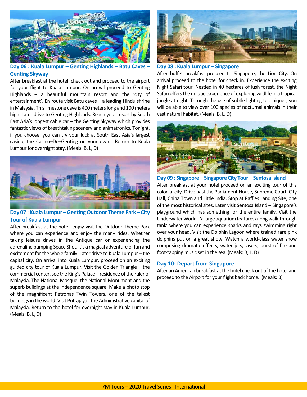

**Day 06 : Kuala Lumpur – Genting Highlands – Batu Caves – Genting Skyway**

After breakfast at the hotel, check out and proceed to the airport for your flight to Kuala Lumpur. On arrival proceed to Genting Highlands – a beautiful mountain resort and the 'city of entertainment'. En route visit Batu caves – a leading Hindu shrine in Malaysia. This limestone cave is 400 meters long and 100 meters high. Later drive to Genting Highlands. Reach your resort by South East Asia's longest cable car – the Genting Skyway which provides fantastic views of breathtaking scenery and animatronics. Tonight, if you choose, you can try your luck at South East Asia's largest casino, the Casino–De–Genting on your own. Return to Kuala Lumpur for overnight stay. (Meals: B, L, D)



**Day 07 : Kuala Lumpur –Genting Outdoor Theme Park – City Tour of Kuala Lumpur**

After breakfast at the hotel, enjoy visit the Outdoor Theme Park where you can experience and enjoy the many rides. Whether taking leisure drives in the Antique car or experiencing the adrenaline pumping Space Shot, it's a magical adventure of fun and excitement for the whole family. Later drive to Kuala Lumpur – the capital city. On arrival into Kuala Lumpur, proceed on an exciting guided city tour of Kuala Lumpur. Visit the Golden Triangle – the commercial center, see the King's Palace – residence of the ruler of Malaysia, The National Mosque, the National Monument and the superb buildings at the Independence square. Make a photo stop of the magnificent Petronas Twin Towers, one of the tallest buildings in the world. Visit Putrajaya - the Administrative capital of Malaysia. Return to the hotel for overnight stay in Kuala Lumpur. (Meals: B, L, D)



**Day 08 : Kuala Lumpur – Singapore** 

After buffet breakfast proceed to Singapore, the Lion City. On arrival proceed to the hotel for check in. Experience the exciting Night Safari tour. Nestled in 40 hectares of lush forest, the Night Safari offers the unique experience of exploring wildlife in a tropical jungle at night. Through the use of subtle lighting techniques, you will be able to view over 100 species of nocturnal animals in their vast natural habitat. (Meals: B, L, D)



**Day 09 : Singapore – Singapore City Tour – Sentosa Island** After breakfast at your hotel proceed on an exciting tour of this colonial city. Drive past the Parliament House, Supreme Court, City Hall, China Town and Little India. Stop at Raffles Landing Site, one of the most historical sites. Later visit Sentosa Island – Singapore's playground which has something for the entire family. Visit the Underwater World -'a large aquarium features a long walk-through tank' where you can experience sharks and rays swimming right over your head. Visit the Dolphin Lagoon where trained rare pink dolphins put on a great show. Watch a world-class water show comprising dramatic effects, water jets, lasers, burst of fire and foot-tapping music set in the sea. (Meals: B, L, D)

#### **Day 10: Depart from Singapore**

After an American breakfast at the hotel check out of the hotel and proceed to the Airport for your flight back home. (Meals: B)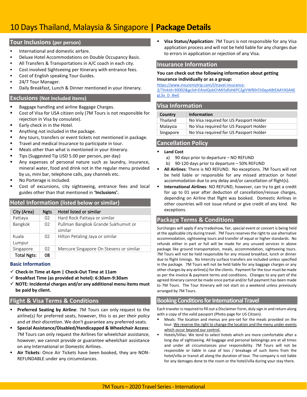# 10 Days Thailand, Malaysia & Singapore **| Package Details**

## **Tour Inclusions (per person)**

- International and domestic airfare.
- Deluxe Hotel Accommodations on Double Occupancy Basis.
- All Transfers & Transportations in A/C coach in each city.
- Cost involved Sightseeing per Itinerary with entrance fees.
- Cost of English speaking Tour Guides.
- 24/7 Tour Manager.
- Daily Breakfast, Lunch & Dinner mentioned in your itinerary.

## **Exclusions (Not Included items)**

- Baggage handling and airline Baggage Charges.
- Cost of Visa for USA citizen only (7M Tours is not responsible for rejection in Visa by consulate).
- Early check in in the Hotel.
- Anything not included in the package.
- Any tours, transfers or event tickets not mentioned in package.
- Travel and medical Insurance to participate in tour.
- Meals other than what is mentioned in your itinerary.
- Tips (Suggested Tip USD 5.00 per person, per day)
- Any expenses of personal nature such as laundry, insurance, mineral water, food and drink not in the regular menu provided by us, mini bar, telephone calls, pay channels etc.
- No Porterage is included.
- Cost of excursions, city sightseeing, entrance fees and local guides other than that mentioned in **'Inclusions'.**

# **Hotel Information (listed below or similar)**

| City (Area)        | <b>Ngts</b> | Hotel listed or similar                        |
|--------------------|-------------|------------------------------------------------|
| Pattaya            | 02          | Hard Rock Pattaya or similar                   |
| Bangkok            | 02          | Pullman Bangkok Grande Sukhumvit or<br>similar |
| Kuala<br>Lumpur    | 02          | Hilton Petaling Jaya or similar                |
| Singapore          | 02          | Mercure Singapore On Stevens or similar        |
| <b>Total Ngts:</b> | 08          |                                                |

## **Basic Information**

- ✓ **Check-In Time at 4pm | Check-Out Time at 11am**
- ✓ **Breakfast Time (as provided at hotel): 6:30am-9:30am**
- ✓ **NOTE: Incidental charges and/or any additional menu items must be paid by client.**

# **Flight & Visa Terms & Conditions**

- **Preferred Seating by Airline: 7M Tours can only request to the** airline(s) for preferred seats, however, this is *as per their policy* and *at their discretion*. We don't guarantee any preferred seats.
- **Special Assistance/Disabled/Handicapped & Wheelchair Access**: 7M Tours can only request the Airlines for wheelchair assistance, however, we cannot provide or guarantee wheelchair assistance on any International or Domestic Airlines.
- Air Tickets: Once Air Tickets have been booked, they are NON-REFUNDABLE under any circumstances.

**Visa Status/Application**: 7M Tours is not responsible for any Visa application process and will not be held liable for any charges due to errors in application or rejection of any Visa.

#### **Insurance Information**

#### **You can check out the following information about getting Insurance individually or as a group:**

[https://www.insuremytrip.com/l/travel-insurance-](https://www.insuremytrip.com/l/travel-insurance-2/?linkId=30002&gclid=EAIaIQobChMI5dfah6PC2gIVWR0rCh0qoA8tEAAYASAAEgL3a_D_BwE)

[2/?linkId=30002&gclid=EAIaIQobChMI5dfah6PC2gIVWR0rCh0qoA8tEAAYASAAE](https://www.insuremytrip.com/l/travel-insurance-2/?linkId=30002&gclid=EAIaIQobChMI5dfah6PC2gIVWR0rCh0qoA8tEAAYASAAEgL3a_D_BwE) [gL3a\\_D\\_BwE](https://www.insuremytrip.com/l/travel-insurance-2/?linkId=30002&gclid=EAIaIQobChMI5dfah6PC2gIVWR0rCh0qoA8tEAAYASAAEgL3a_D_BwE)

## **Visa Information**

| Country   | <b>Information</b>                      |  |  |
|-----------|-----------------------------------------|--|--|
| Thailand  | No Visa required for US Passport Holder |  |  |
| Malaysia  | No Visa required for US Passport Holder |  |  |
| Singapore | No Visa required for US Passport Holder |  |  |

# **Cancellation Policy**

#### **Land Cost**

- a) 90 days prior to departure NO REFUND
- b) 90-120 days prior to departure 50% REFUND
- **All Airlines**: There is NO REFUND. No exceptions. 7M Tours will not be held liable or responsible for any missed attraction or hotel accommodation due to any delay and/or cancellation of flight(s).
- **International Airlines: NO REFUND, however, can try to get a credit** for up to 01 year after deduction of cancellation/reissue charges, depending on Airline that flight was booked. Domestic Airlines in other countries will not issue refund or give credit of any kind. No exceptions.

# **Package Terms & Conditions**

Surcharges will apply if any tradeshow, fair, special event or concert is being held at the applicable city during travel. 7M Tours reserves the right to use alternative accommodation, sightseeing tours and transfer of equal or higher standards. No refunds either in part or full will be made for any unused services in above package like ground transportation, meals, accommodation, sightseeing tours. 7M Tours will not be held responsible for any missed breakfast, lunch or dinner due to flight timings. No Intercity surface transfers are included unless specified in the package. 7M Tours will not be held liable for any baggage charges or any other charges by any airline(s) for the clients. Payment for the tour must be made as per the invoice & payment terms and conditions. Changes to any part of the agreed itinerary cannot be made once partial and/or full payment has been made to 7M Tours. The Tour Itinerary will not start on a weekend unless previously arranged by 7M Tours.

## **Booking Conditions for International Travel**

Each traveler is required to fill out a Disclaimer Form, duly sign in and return along with a copy of the valid passport (Photo page for US Citizen).

- Meals: The location and menus are pre-set for the meals provided on the tour. We reserve the right to change the location and the menu under events which occur beyond our control.
- Hotels/Villas: We tend to select hotels which are more comfortable after a long day of sightseeing. All baggage and personal belongings are at all times and under all circumstances your responsibility. 7M Tours will not be responsible or liable in case of loss / breakage of such items from the hotel/villa or transit all along the duration of tour. The company is not liable for any damages done to the room or the hotel/villa during your stay there.